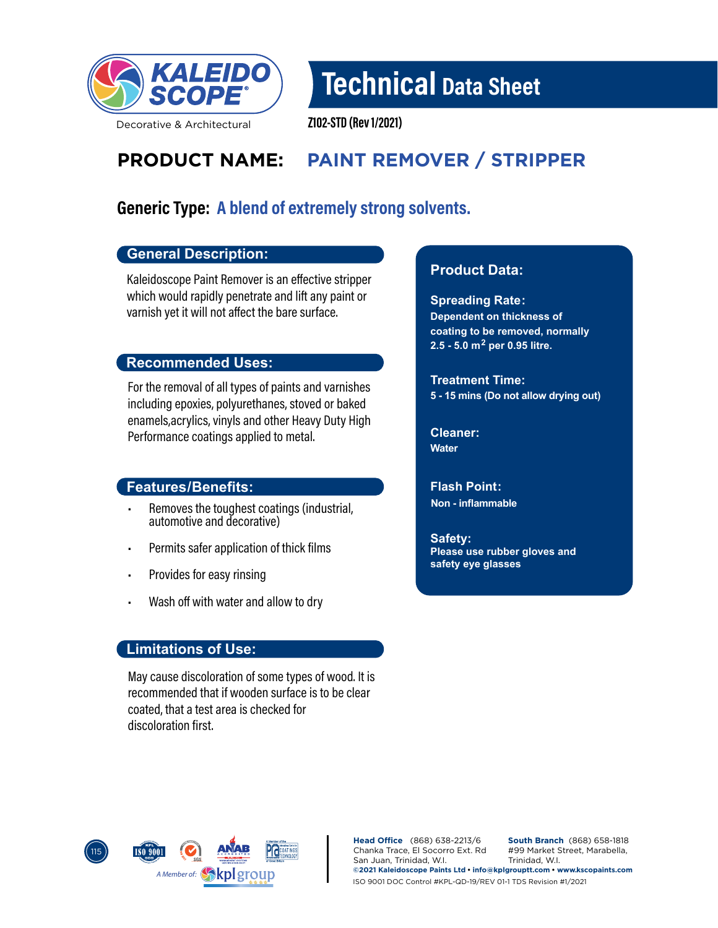

## Technical Data Sheet

Decorative & Architectural

Z102-STD (Rev 1/2021)

### **PRODUCT NAME: PAINT REMOVER / STRIPPER**

### Generic Type: A blend of extremely strong solvents.

#### **General Description:**

Kaleidoscope Paint Remover is an effective stripper which would rapidly penetrate and lift any paint or varnish yet it will not affect the bare surface.

#### **Recommended Uses:**

For the removal of all types of paints and varnishes including epoxies, polyurethanes, stoved or baked enamels,acrylics, vinyls and other Heavy Duty High Performance coatings applied to metal.

#### **Features/Benefits:**

- Removes the toughest coatings (industrial, automotive and decorative)
- Permits safer application of thick films
- Provides for easy rinsing
- Wash off with water and allow to dry

#### **Limitations of Use:**

May cause discoloration of some types of wood. It is recommended that if wooden surface is to be clear coated, that a test area is checked for discoloration first.

#### **Product Data:**

**Spreading Rate: Dependent on thickness of coating to be removed, normally 2.5 - 5.0 m2 per 0.95 litre.**

**Treatment Time: 5 - 15 mins (Do not allow drying out)**

**Cleaner: Water**

**Flash Point: Non - inflammable**

**Safety: Please use rubber gloves and safety eye glasses**



**Head Office** (868) 638-2213/6 Chanka Trace, El Socorro Ext. Rd San Juan, Trinidad, W.I. **South Branch** (868) 658-1818 #99 Market Street, Marabella, Trinidad, W.I. **©2021 Kaleidoscope Paints Ltd • info@kplgrouptt.com • www.kscopaints.com** ISO 9001 DOC Control #KPL-QD-19/REV 01-1 TDS Revision #1/2021